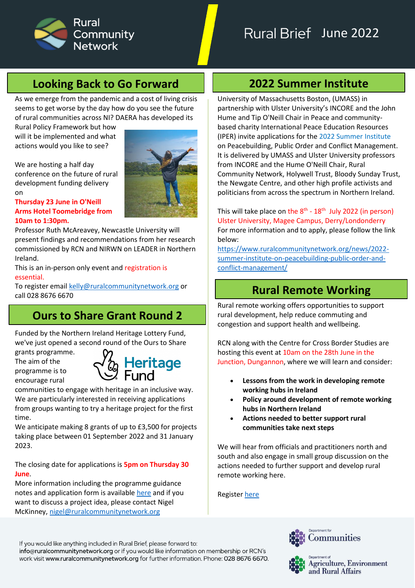

# **Looking Back to Go Forward**

As we emerge from the pandemic and a cost of living crisis seems to get worse by the day how do you see the future of rural communities across NI? DAERA has developed its

Rural Policy Framework but how will it be implemented and what actions would you like to see?

We are hosting a half day conference on the future of rural development funding delivery on

**Thursday 23 June in O'Neill Arms Hotel Toomebridge from 10am to 1:30pm.**

Professor Ruth McAreavey, Newcastle University will present findings and recommendations from her research commissioned by RCN and NIRWN on LEADER in Northern Ireland.

This is an in-person only event and registration is essential.

To register email [kelly@ruralcommunitynetwork.org](mailto:kelly@ruralcommunitynetwork.org) or call 028 8676 6670

# **Ours to Share Grant Round 2**

Funded by the Northern Ireland Heritage Lottery Fund, we've just opened a second round of the Ours to Share

grants programme. The aim of the programme is to encourage rural



communities to engage with heritage in an inclusive way. We are particularly interested in receiving applications from groups wanting to try a heritage project for the first time.

We anticipate making 8 grants of up to £3,500 for projects taking place between 01 September 2022 and 31 January 2023.

The closing date for applications is **5pm on Thursday 30 June**.

More information including the programme guidance notes and application form is available [here](https://www.ruralcommunitynetwork.org/programmes/ours-to-share-grant-programme-2/) and if you want to discuss a project idea, please contact Nigel McKinney, [nigel@ruralcommunitynetwork.org](mailto:nigel@ruralcommunitynetwork.org)

# **2022 Summer Institute**

University of Massachusetts Boston, (UMASS) in partnership with Ulster University's INCORE and the John Hume and Tip O'Neill Chair in Peace and communitybased charity International Peace Education Resources (IPER) invite applications for the 2022 Summer Institute on Peacebuilding, Public Order and Conflict Management. It is delivered by UMASS and Ulster University professors from INCORE and the Hume O'Neill Chair, Rural Community Network, Holywell Trust, Bloody Sunday Trust, the Newgate Centre, and other high profile activists and politicians from across the spectrum in Northern Ireland.

This will take place on the 8<sup>th</sup> - 18<sup>th</sup> July 2022 (in person) Ulster University, Magee Campus, Derry/Londonderry For more information and to apply, please follow the link below:

[https://www.ruralcommunitynetwork.org/news/2022](https://www.ruralcommunitynetwork.org/news/2022-summer-institute-on-peacebuilding-public-order-and-conflict-management/) [summer-institute-on-peacebuilding-public-order-and](https://www.ruralcommunitynetwork.org/news/2022-summer-institute-on-peacebuilding-public-order-and-conflict-management/)[conflict-management/](https://www.ruralcommunitynetwork.org/news/2022-summer-institute-on-peacebuilding-public-order-and-conflict-management/)

## **Rural Remote Working**

Rural remote working offers opportunities to support rural development, help reduce commuting and congestion and support health and wellbeing.

RCN along with the Centre for Cross Border Studies are hosting this event at 10am on the 28th June in the Junction, Dungannon, where we will learn and consider:

- **Lessons from the work in developing remote working hubs in Ireland**
- **Policy around development of remote working hubs in Northern Ireland**
- **Actions needed to better support rural communities take next steps**

We will hear from officials and practitioners north and south and also engage in small group discussion on the actions needed to further support and develop rural remote working here.

Register [here](https://www.eventbrite.co.uk/e/rural-remote-working-in-northern-ireland-from-policy-to-practice-tickets-328748314057) 

If you would like anything included in Rural Brief, please forward to: info@ruralcommunitynetwork.org or if you would like information on membership or RCN's work visit www.ruralcommunitynetwork.org for further information. Phone: 028 8676 6670.





Agriculture, Environment and Rural Affairs